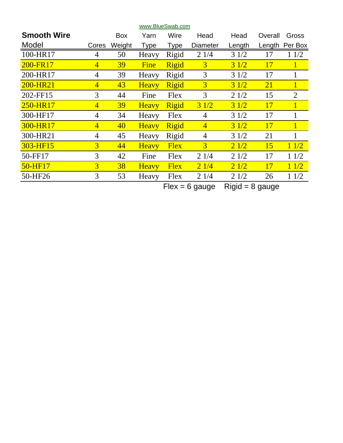| <b>Smooth Wire</b> |                | Box    | Yarn         | Wire        | Head            | Head   | Overall   | Gross          |
|--------------------|----------------|--------|--------------|-------------|-----------------|--------|-----------|----------------|
| Model              | Cores          | Weight | <b>Type</b>  | Type        | <b>Diameter</b> | Length | Length    | Per Box        |
| 100-HR17           | 4              | 50     | Heavy        | Rigid       | 21/4            | 31/2   | 17        | 11/2           |
| 200-FR17           | $\overline{4}$ | 39     | Fine         | Rigid       | $\overline{3}$  | 31/2   | 17        | $\overline{1}$ |
| 200-HR17           | 4              | 39     | Heavy        | Rigid       | 3               | 31/2   | 17        | 1              |
| 200-HR21           | $\overline{4}$ | 43     | <b>Heavy</b> | Rigid       | $\overline{3}$  | 31/2   | <b>21</b> | $\mathbf{1}$   |
| 202-FF15           | 3              | 44     | Fine         | Flex        | 3               | 21/2   | 15        | $\overline{2}$ |
| 250-HR17           | $\overline{4}$ | 39     | <b>Heavy</b> | Rigid       | 31/2            | 31/2   | 17        | $1^{\circ}$    |
| 300-HF17           | 4              | 34     | Heavy        | Flex        | 4               | 31/2   | 17        |                |
| 300-HR17           | $\overline{4}$ | 40     | <b>Heavy</b> | Rigid       | $\overline{4}$  | 31/2   | 17        | $\mathbf{1}$   |
| 300-HR21           | $\overline{4}$ | 45     | Heavy        | Rigid       | $\overline{4}$  | 31/2   | 21        |                |
| 303-HF15           | 3              | 44     | <b>Heavy</b> | <b>Flex</b> | 3               | 21/2   | 15        | 11/2           |
| 50-FF17            | 3              | 42     | Fine         | Flex        | 21/4            | 21/2   | 17        | 11/2           |
| 50-HF17            | $\overline{3}$ | 38     | <b>Heavy</b> | <b>Flex</b> | 21/4            | 21/2   | <b>17</b> | 11/2           |
| 50-HF26            | 3              | 53     | Heavy        | Flex        | 21/4            | 21/2   | 26        | 11/2           |

 $Flex = 6$  gauge  $Rigid = 8$  gauge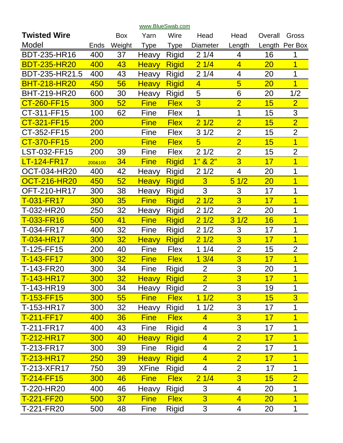| <b>Twisted Wire</b> |            | <b>Box</b>      | Yarn         | Wire         | Head            | Head                  | Overall | Gross          |
|---------------------|------------|-----------------|--------------|--------------|-----------------|-----------------------|---------|----------------|
| Model               | Ends       | Weight          | <b>Type</b>  | Type         | <b>Diameter</b> | Length                | Length  | Per Box        |
| <b>BDT-235-HR16</b> | 400        | 37              | Heavy        | <b>Rigid</b> | 21/4            | 4                     | 16      | 1              |
| <b>BDT-235-HR20</b> | 400        | 43              | <b>Heavy</b> | <b>Rigid</b> | 21/4            | $\overline{4}$        | 20      | $\overline{1}$ |
| BDT-235-HR21.5      | 400        | 43              | Heavy        | <b>Rigid</b> | 21/4            | 4                     | 20      | 1              |
| <b>BHT-218-HR20</b> | 450        | 56              | <b>Heavy</b> | <b>Rigid</b> | $\overline{4}$  | $\overline{5}$        | 20      | $\overline{1}$ |
| <b>BHT-219-HR20</b> | 600        | 30              | Heavy        | <b>Rigid</b> | 5               | 6                     | 20      | 1/2            |
| CT-260-FF15         | 300        | 52              | <b>Fine</b>  | <b>Flex</b>  | $\overline{3}$  | $\overline{2}$        | 15      | $\overline{2}$ |
| CT-311-FF15         | 100        | 62              | Fine         | <b>Flex</b>  | 1               | 1                     | 15      | 3              |
| CT-321-FF15         | <b>200</b> |                 | <b>Fine</b>  | <b>Flex</b>  | 21/2            | $\overline{2}$        | 15      | $\overline{2}$ |
| CT-352-FF15         | 200        |                 | Fine         | <b>Flex</b>  | 31/2            | $\overline{2}$        | 15      | $\overline{2}$ |
| CT-370-FF15         | 200        |                 | <b>Fine</b>  | <b>Flex</b>  | $\overline{5}$  | $\overline{2}$        | 15      | $\overline{1}$ |
| LST-032-FF15        | 200        | 39              | Fine         | <b>Flex</b>  | 21/2            | $\overline{2}$        | 15      | $\overline{2}$ |
| LT-124-FR17         | 200&100    | 34              | <b>Fine</b>  | <b>Rigid</b> | 1"<br>82"       | 3                     | 17      | $\overline{1}$ |
| <b>OCT-034-HR20</b> | 400        | 42              | Heavy        | Rigid        | 21/2            | 4                     | 20      | 1              |
| <b>OCT-216-HR20</b> | 450        | 52              | <b>Heavy</b> | <b>Rigid</b> | $\overline{3}$  | 51/2                  | 20      | $\overline{1}$ |
| <b>OFT-210-HR17</b> | 300        | 38              | Heavy        | <b>Rigid</b> | 3               | 3                     | 17      | 1              |
| T-031-FR17          | 300        | 35              | <b>Fine</b>  | <b>Rigid</b> | 21/2            | 3                     | 17      | 1              |
| T-032-HR20          | 250        | 32              | Heavy        | Rigid        | 21/2            | $\overline{2}$        | 20      | 1              |
| T-033-FR16          | 500        | 41              | <b>Fine</b>  | <b>Rigid</b> | 21/2            | 1/2<br>$\overline{3}$ | 16      | $\overline{1}$ |
| T-034-FR17          | 400        | 32              | Fine         | <b>Rigid</b> | 21/2            | 3                     | 17      | 1              |
| T-034-HR17          | 300        | 32              | <b>Heavy</b> | <b>Rigid</b> | 21/2            | 3                     | 17      | $\overline{1}$ |
| T-125-FF15          | 200        | 40              | Fine         | <b>Flex</b>  | 11/4            | $\overline{2}$        | 15      | $\overline{2}$ |
| T-143-FF17          | 300        | 32              | <b>Fine</b>  | <b>Flex</b>  | 13/4            | 3                     | 17      | $\overline{1}$ |
| T-143-FR20          | 300        | 34              | Fine         | <b>Rigid</b> | $\overline{2}$  | 3                     | 20      | 1              |
| T-143-HR17          | 300        | 32 <sub>2</sub> | <b>Heavy</b> | <b>Rigid</b> | $\overline{2}$  | $\overline{3}$        | 17      | 1              |
| T-143-HR19          | 300        | 34              | Heavy        | <b>Rigid</b> | $\overline{2}$  | 3                     | 19      | 1              |
| T-153-FF15          | 300        | 55              | <b>Fine</b>  | <b>Flex</b>  | 11/2            | 3                     | 15      | $\overline{3}$ |
| T-153-HR17          | 300        | 32              | Heavy        | <b>Rigid</b> | 11/2            | 3                     | 17      | 1              |
| T-211-FF17          | 400        | 36              | <b>Fine</b>  | <b>Flex</b>  | $\overline{4}$  | $\overline{3}$        | 17      | 1              |
| T-211-FR17          | 400        | 43              | Fine         | Rigid        | 4               | 3                     | 17      | 1              |
| T-212-HR17          | 300        | 40              | <b>Heavy</b> | <b>Rigid</b> | $\overline{4}$  | $\overline{2}$        | 17      | 1              |
| T-213-FR17          | 300        | 39              | Fine         | <b>Rigid</b> | 4               | $\overline{2}$        | 17      | 1              |
| T-213-HR17          | <b>250</b> | <b>39</b>       | <b>Heavy</b> | <b>Rigid</b> | $\overline{4}$  | $\overline{2}$        | 17      | 1              |
| T-213-XFR17         | 750        | 39              | <b>XFine</b> | Rigid        | 4               | $\overline{2}$        | 17      | 1              |
| T-214-FF15          | 300        | 46              | <b>Fine</b>  | <b>Flex</b>  | 21/4            | $\overline{3}$        | 15      | $\overline{2}$ |
| T-220-HR20          | 400        | 46              | Heavy        | Rigid        | 3               | 4                     | 20      | 1              |
| T-221-FF20          | 500        | 37 <sub>2</sub> | <b>Fine</b>  | <b>Flex</b>  | 3               | $\overline{4}$        | 20      | $\overline{1}$ |
| T-221-FR20          | 500        | 48              | Fine         | <b>Rigid</b> | $\mathbf{3}$    | 4                     | 20      | $\mathbf 1$    |